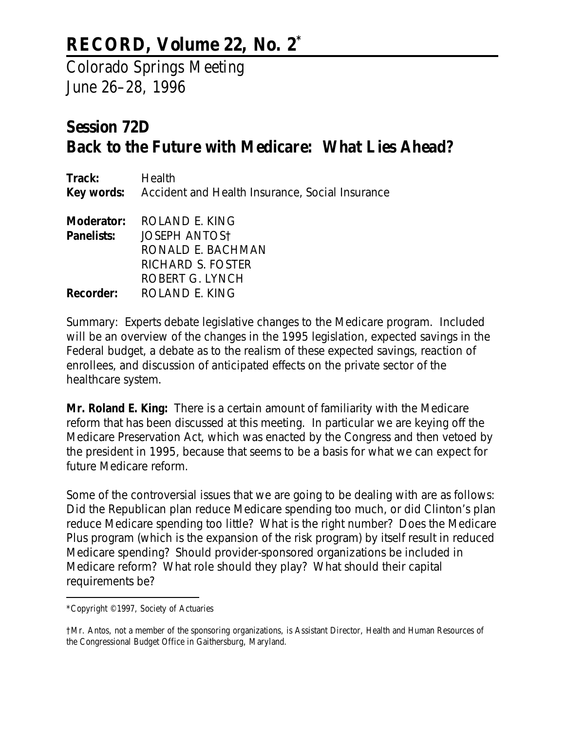## **RECORD, Volume 22, No. 2\***

Colorado Springs Meeting June 26–28, 1996

## **Session 72D Back to the Future with Medicare: What Lies Ahead?**

| Track:           | Health<br><b>Key words:</b> Accident and Health Insurance, Social Insurance |
|------------------|-----------------------------------------------------------------------------|
|                  | <b>Moderator: ROLAND E. KING</b>                                            |
| Panelists:       | <b>JOSEPH ANTOST</b>                                                        |
|                  | RONALD E. BACHMAN                                                           |
|                  | RICHARD S. FOSTER                                                           |
|                  | ROBERT G. LYNCH                                                             |
| <b>Recorder:</b> | ROLAND E. KING                                                              |

*Summary: Experts debate legislative changes to the Medicare program. Included will be an overview of the changes in the 1995 legislation, expected savings in the Federal budget, a debate as to the realism of these expected savings, reaction of enrollees, and discussion of anticipated effects on the private sector of the healthcare system.*

**Mr. Roland E. King:** There is a certain amount of familiarity with the Medicare reform that has been discussed at this meeting. In particular we are keying off the Medicare Preservation Act, which was enacted by the Congress and then vetoed by the president in 1995, because that seems to be a basis for what we can expect for future Medicare reform.

Some of the controversial issues that we are going to be dealing with are as follows: Did the Republican plan reduce Medicare spending too much, or did Clinton's plan reduce Medicare spending too little? What is the right number? Does the Medicare Plus program (which is the expansion of the risk program) by itself result in reduced Medicare spending? Should provider-sponsored organizations be included in Medicare reform? What role should they play? What should their capital requirements be?

<sup>\*</sup>Copyright © 1997, Society of Actuaries

<sup>†</sup>Mr. Antos, not a member of the sponsoring organizations, is Assistant Director, Health and Human Resources of the Congressional Budget Office in Gaithersburg, Maryland.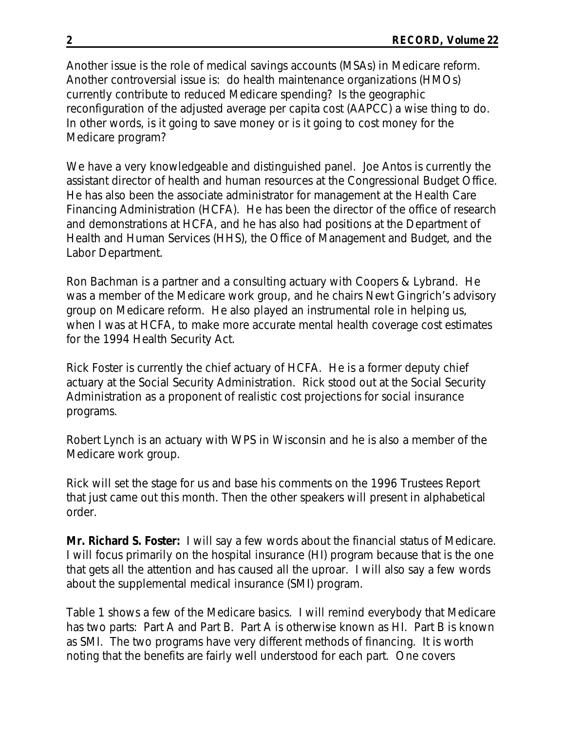Another issue is the role of medical savings accounts (MSAs) in Medicare reform. Another controversial issue is: do health maintenance organizations (HMOs) currently contribute to reduced Medicare spending? Is the geographic reconfiguration of the adjusted average per capita cost (AAPCC) a wise thing to do. In other words, is it going to save money or is it going to cost money for the Medicare program?

We have a very knowledgeable and distinguished panel. Joe Antos is currently the assistant director of health and human resources at the Congressional Budget Office. He has also been the associate administrator for management at the Health Care Financing Administration (HCFA). He has been the director of the office of research and demonstrations at HCFA, and he has also had positions at the Department of Health and Human Services (HHS), the Office of Management and Budget, and the Labor Department.

Ron Bachman is a partner and a consulting actuary with Coopers & Lybrand. He was a member of the Medicare work group, and he chairs Newt Gingrich's advisory group on Medicare reform. He also played an instrumental role in helping us, when I was at HCFA, to make more accurate mental health coverage cost estimates for the 1994 Health Security Act.

Rick Foster is currently the chief actuary of HCFA. He is a former deputy chief actuary at the Social Security Administration. Rick stood out at the Social Security Administration as a proponent of realistic cost projections for social insurance programs.

Robert Lynch is an actuary with WPS in Wisconsin and he is also a member of the Medicare work group.

Rick will set the stage for us and base his comments on the 1996 Trustees Report that just came out this month. Then the other speakers will present in alphabetical order.

**Mr. Richard S. Foster:** I will say a few words about the financial status of Medicare. I will focus primarily on the hospital insurance (HI) program because that is the one that gets all the attention and has caused all the uproar. I will also say a few words about the supplemental medical insurance (SMI) program.

Table 1 shows a few of the Medicare basics. I will remind everybody that Medicare has two parts: Part A and Part B. Part A is otherwise known as HI. Part B is known as SMI. The two programs have very different methods of financing. It is worth noting that the benefits are fairly well understood for each part. One covers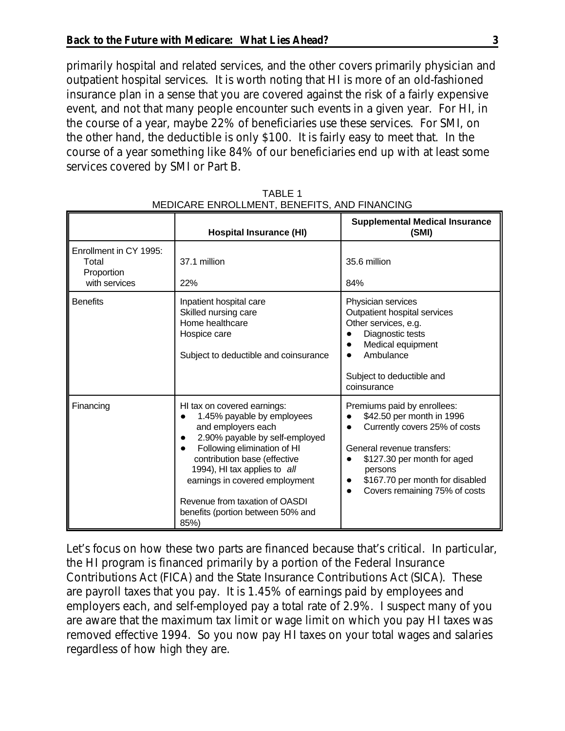primarily hospital and related services, and the other covers primarily physician and outpatient hospital services. It is worth noting that HI is more of an old-fashioned insurance plan in a sense that you are covered against the risk of a fairly expensive event, and not that many people encounter such events in a given year. For HI, in the course of a year, maybe 22% of beneficiaries use these services. For SMI, on the other hand, the deductible is only \$100. It is fairly easy to meet that. In the course of a year something like 84% of our beneficiaries end up with at least some services covered by SMI or Part B.

|                                                                | <b>Hospital Insurance (HI)</b>                                                                                                                                                                                                                                                                                                    | <b>Supplemental Medical Insurance</b><br>(SMI)                                                                                                                                                                                                                  |
|----------------------------------------------------------------|-----------------------------------------------------------------------------------------------------------------------------------------------------------------------------------------------------------------------------------------------------------------------------------------------------------------------------------|-----------------------------------------------------------------------------------------------------------------------------------------------------------------------------------------------------------------------------------------------------------------|
| Enrollment in CY 1995:<br>Total<br>Proportion<br>with services | 37.1 million<br>22%                                                                                                                                                                                                                                                                                                               | 35.6 million<br>84%                                                                                                                                                                                                                                             |
| <b>Benefits</b>                                                | Inpatient hospital care<br>Skilled nursing care<br>Home healthcare<br>Hospice care<br>Subject to deductible and coinsurance                                                                                                                                                                                                       | Physician services<br>Outpatient hospital services<br>Other services, e.g.<br>Diagnostic tests<br>Medical equipment<br>Ambulance<br>Subject to deductible and<br>coinsurance                                                                                    |
| Financing                                                      | HI tax on covered earnings:<br>1.45% payable by employees<br>and employers each<br>2.90% payable by self-employed<br>Following elimination of HI<br>contribution base (effective<br>1994), HI tax applies to all<br>earnings in covered employment<br>Revenue from taxation of OASDI<br>benefits (portion between 50% and<br>85%) | Premiums paid by enrollees:<br>\$42.50 per month in 1996<br>$\bullet$<br>Currently covers 25% of costs<br>$\bullet$<br>General revenue transfers:<br>\$127.30 per month for aged<br>persons<br>\$167.70 per month for disabled<br>Covers remaining 75% of costs |

TABLE 1 MEDICARE ENROLLMENT, BENEFITS, AND FINANCING

Let's focus on how these two parts are financed because that's critical. In particular, the HI program is financed primarily by a portion of the Federal Insurance Contributions Act (FICA) and the State Insurance Contributions Act (SICA). These are payroll taxes that you pay. It is 1.45% of earnings paid by employees and employers each, and self-employed pay a total rate of 2.9%. I suspect many of you are aware that the maximum tax limit or wage limit on which you pay HI taxes was removed effective 1994. So you now pay HI taxes on your total wages and salaries regardless of how high they are.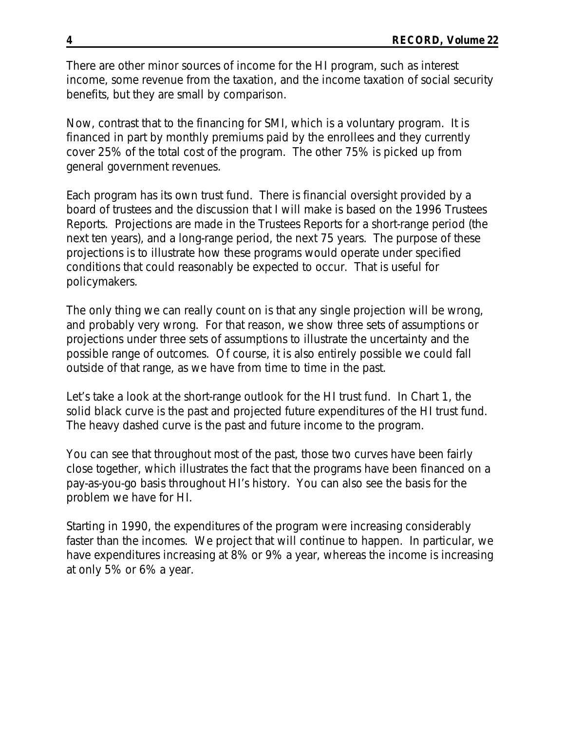There are other minor sources of income for the HI program, such as interest income, some revenue from the taxation, and the income taxation of social security benefits, but they are small by comparison.

Now, contrast that to the financing for SMI, which is a voluntary program. It is financed in part by monthly premiums paid by the enrollees and they currently cover 25% of the total cost of the program. The other 75% is picked up from general government revenues.

Each program has its own trust fund. There is financial oversight provided by a board of trustees and the discussion that I will make is based on the 1996 Trustees Reports. Projections are made in the Trustees Reports for a short-range period (the next ten years), and a long-range period, the next 75 years. The purpose of these projections is to illustrate how these programs would operate under specified conditions that could reasonably be expected to occur. That is useful for policymakers.

The only thing we can really count on is that any single projection will be wrong, and probably very wrong. For that reason, we show three sets of assumptions or projections under three sets of assumptions to illustrate the uncertainty and the possible range of outcomes. Of course, it is also entirely possible we could fall outside of that range, as we have from time to time in the past.

Let's take a look at the short-range outlook for the HI trust fund. In Chart 1, the solid black curve is the past and projected future expenditures of the HI trust fund. The heavy dashed curve is the past and future income to the program.

You can see that throughout most of the past, those two curves have been fairly close together, which illustrates the fact that the programs have been financed on a pay-as-you-go basis throughout HI's history. You can also see the basis for the problem we have for HI.

Starting in 1990, the expenditures of the program were increasing considerably faster than the incomes. We project that will continue to happen. In particular, we have expenditures increasing at 8% or 9% a year, whereas the income is increasing at only 5% or 6% a year.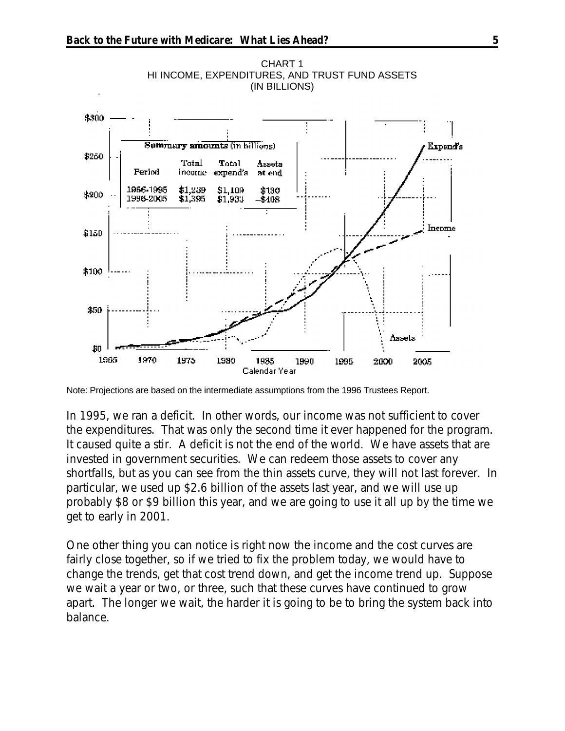

CHART 1 HI INCOME, EXPENDITURES, AND TRUST FUND ASSETS (IN BILLIONS)

In 1995, we ran a deficit. In other words, our income was not sufficient to cover the expenditures. That was only the second time it ever happened for the program. It caused quite a stir. A deficit is not the end of the world. We have assets that are invested in government securities. We can redeem those assets to cover any shortfalls, but as you can see from the thin assets curve, they will not last forever. In particular, we used up \$2.6 billion of the assets last year, and we will use up probably \$8 or \$9 billion this year, and we are going to use it all up by the time we get to early in 2001.

One other thing you can notice is right now the income and the cost curves are fairly close together, so if we tried to fix the problem today, we would have to change the trends, get that cost trend down, and get the income trend up. Suppose we wait a year or two, or three, such that these curves have continued to grow apart. The longer we wait, the harder it is going to be to bring the system back into balance.

Note: Projections are based on the intermediate assumptions from the 1996 Trustees Report.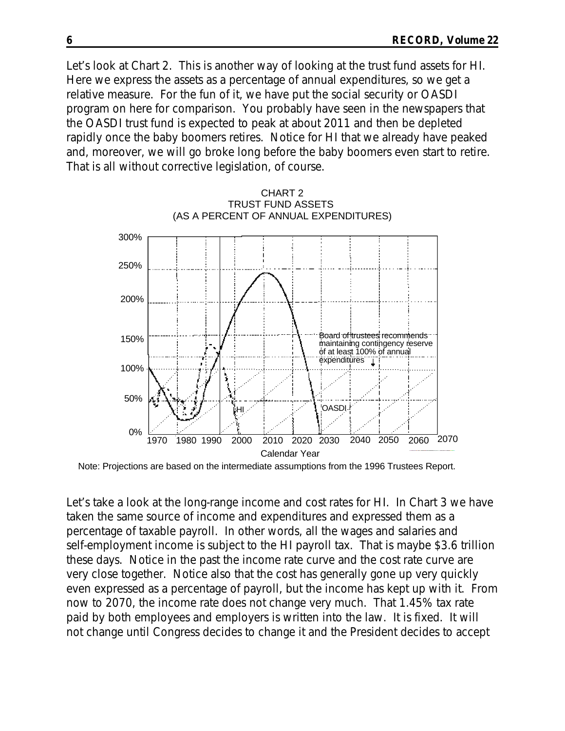Let's look at Chart 2. This is another way of looking at the trust fund assets for HI. Here we express the assets as a percentage of annual expenditures, so we get a relative measure. For the fun of it, we have put the social security or OASDI program on here for comparison. You probably have seen in the newspapers that the OASDI trust fund is expected to peak at about 2011 and then be depleted rapidly once the baby boomers retires. Notice for HI that we already have peaked and, moreover, we will go broke long before the baby boomers even start to retire. That is all without corrective legislation, of course.



Note: Projections are based on the intermediate assumptions from the 1996 Trustees Report.

Let's take a look at the long-range income and cost rates for HI. In Chart 3 we have taken the same source of income and expenditures and expressed them as a percentage of taxable payroll. In other words, all the wages and salaries and self-employment income is subject to the HI payroll tax. That is maybe \$3.6 trillion these days. Notice in the past the income rate curve and the cost rate curve are very close together. Notice also that the cost has generally gone up very quickly even expressed as a percentage of payroll, but the income has kept up with it. From now to 2070, the income rate does not change very much. That 1.45% tax rate paid by both employees and employers is written into the law. It is fixed. It will not change until Congress decides to change it and the President decides to accept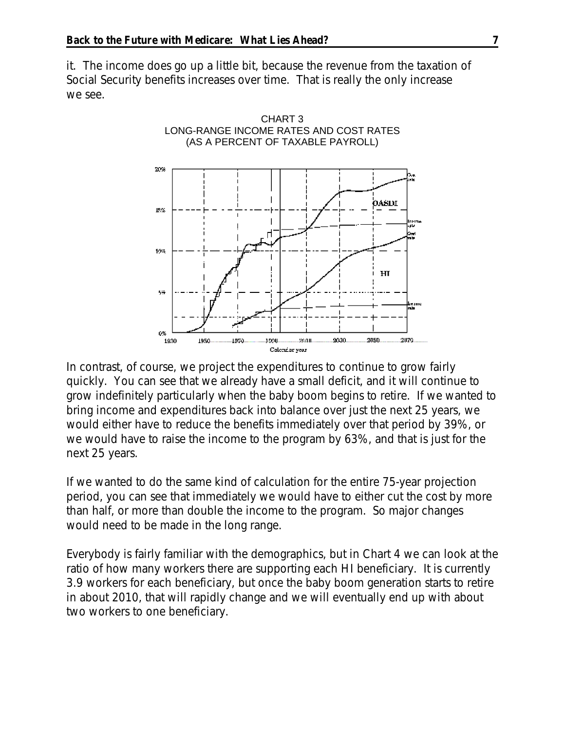it. The income does go up a little bit, because the revenue from the taxation of Social Security benefits increases over time. That is really the only increase we see.



In contrast, of course, we project the expenditures to continue to grow fairly quickly. You can see that we already have a small deficit, and it will continue to grow indefinitely particularly when the baby boom begins to retire. If we wanted to bring income and expenditures back into balance over just the next 25 years, we would either have to reduce the benefits immediately over that period by 39%, or we would have to raise the income to the program by 63%, and that is just for the next 25 years.

If we wanted to do the same kind of calculation for the entire 75-year projection period, you can see that immediately we would have to either cut the cost by more than half, or more than double the income to the program. So major changes would need to be made in the long range.

Everybody is fairly familiar with the demographics, but in Chart 4 we can look at the ratio of how many workers there are supporting each HI beneficiary. It is currently 3.9 workers for each beneficiary, but once the baby boom generation starts to retire in about 2010, that will rapidly change and we will eventually end up with about two workers to one beneficiary.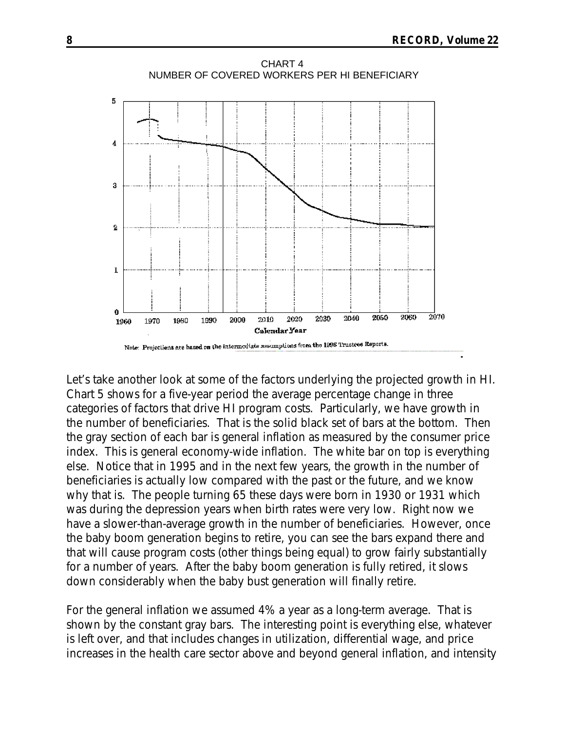

Let's take another look at some of the factors underlying the projected growth in HI. Chart 5 shows for a five-year period the average percentage change in three categories of factors that drive HI program costs. Particularly, we have growth in the number of beneficiaries. That is the solid black set of bars at the bottom. Then the gray section of each bar is general inflation as measured by the consumer price index. This is general economy-wide inflation. The white bar on top is everything else. Notice that in 1995 and in the next few years, the growth in the number of beneficiaries is actually low compared with the past or the future, and we know why that is. The people turning 65 these days were born in 1930 or 1931 which was during the depression years when birth rates were very low. Right now we have a slower-than-average growth in the number of beneficiaries. However, once the baby boom generation begins to retire, you can see the bars expand there and that will cause program costs (other things being equal) to grow fairly substantially for a number of years. After the baby boom generation is fully retired, it slows down considerably when the baby bust generation will finally retire.

For the general inflation we assumed 4% a year as a long-term average. That is shown by the constant gray bars. The interesting point is everything else, whatever is left over, and that includes changes in utilization, differential wage, and price increases in the health care sector above and beyond general inflation, and intensity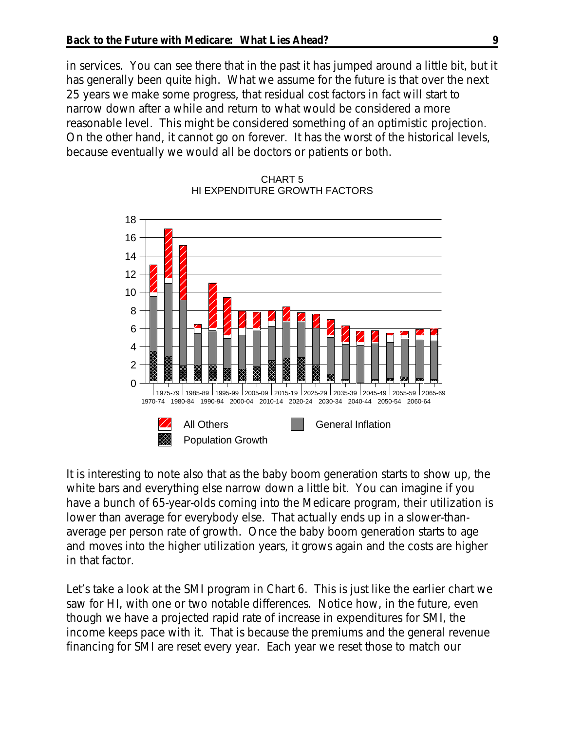in services. You can see there that in the past it has jumped around a little bit, but it has generally been quite high. What we assume for the future is that over the next 25 years we make some progress, that residual cost factors in fact will start to narrow down after a while and return to what would be considered a more reasonable level. This might be considered something of an optimistic projection. On the other hand, it cannot go on forever. It has the worst of the historical levels, because eventually we would all be doctors or patients or both.



## CHART 5 HI EXPENDITURE GROWTH FACTORS

It is interesting to note also that as the baby boom generation starts to show up, the white bars and everything else narrow down a little bit. You can imagine if you have a bunch of 65-year-olds coming into the Medicare program, their utilization is lower than average for everybody else. That actually ends up in a slower-thanaverage per person rate of growth. Once the baby boom generation starts to age and moves into the higher utilization years, it grows again and the costs are higher in that factor.

Let's take a look at the SMI program in Chart 6. This is just like the earlier chart we saw for HI, with one or two notable differences. Notice how, in the future, even though we have a projected rapid rate of increase in expenditures for SMI, the income keeps pace with it. That is because the premiums and the general revenue financing for SMI are reset every year. Each year we reset those to match our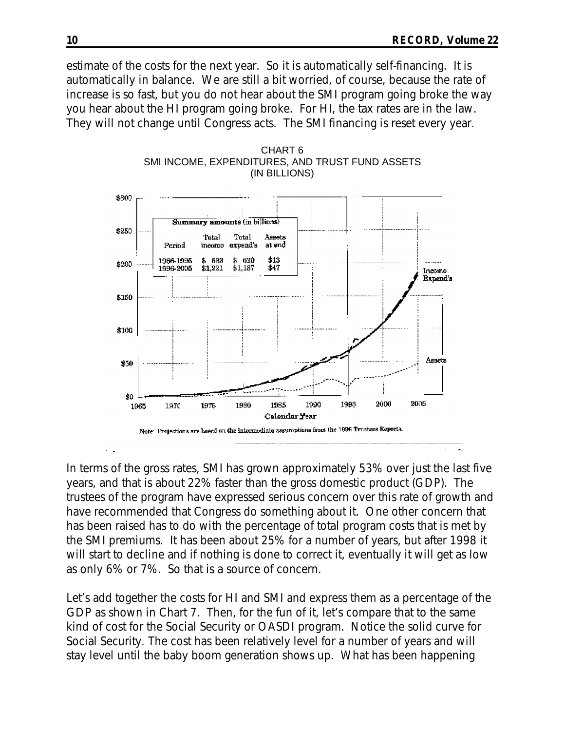estimate of the costs for the next year. So it is automatically self-financing. It is automatically in balance. We are still a bit worried, of course, because the rate of increase is so fast, but you do not hear about the SMI program going broke the way you hear about the HI program going broke. For HI, the tax rates are in the law. They will not change until Congress acts. The SMI financing is reset every year.



CHART 6 SMI INCOME, EXPENDITURES, AND TRUST FUND ASSETS (IN BILLIONS)

In terms of the gross rates, SMI has grown approximately 53% over just the last five years, and that is about 22% faster than the gross domestic product (GDP). The trustees of the program have expressed serious concern over this rate of growth and have recommended that Congress do something about it. One other concern that has been raised has to do with the percentage of total program costs that is met by the SMI premiums. It has been about 25% for a number of years, but after 1998 it will start to decline and if nothing is done to correct it, eventually it will get as low as only 6% or 7%. So that is a source of concern.

Let's add together the costs for HI and SMI and express them as a percentage of the GDP as shown in Chart 7. Then, for the fun of it, let's compare that to the same kind of cost for the Social Security or OASDI program. Notice the solid curve for Social Security. The cost has been relatively level for a number of years and will stay level until the baby boom generation shows up. What has been happening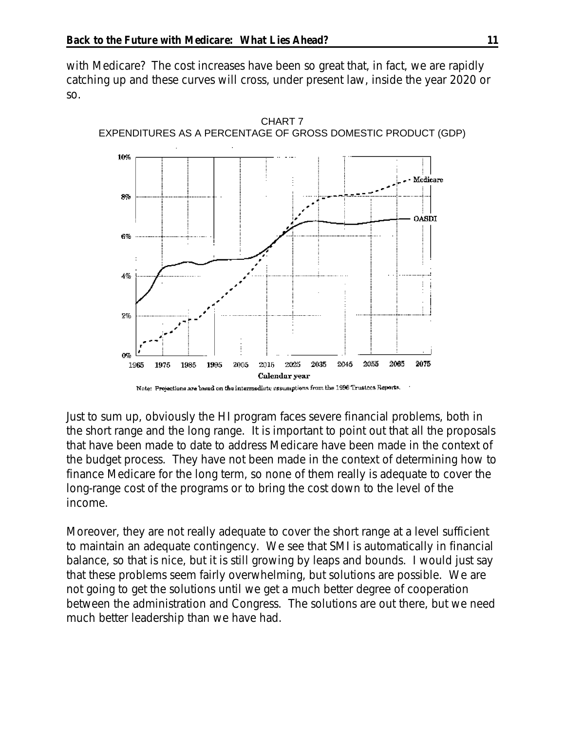with Medicare? The cost increases have been so great that, in fact, we are rapidly catching up and these curves will cross, under present law, inside the year 2020 or so.



Just to sum up, obviously the HI program faces severe financial problems, both in the short range and the long range. It is important to point out that all the proposals that have been made to date to address Medicare have been made in the context of the budget process. They have not been made in the context of determining how to finance Medicare for the long term, so none of them really is adequate to cover the long-range cost of the programs or to bring the cost down to the level of the income.

Moreover, they are not really adequate to cover the short range at a level sufficient to maintain an adequate contingency. We see that SMI is automatically in financial balance, so that is nice, but it is still growing by leaps and bounds. I would just say that these problems seem fairly overwhelming, but solutions are possible. We are not going to get the solutions until we get a much better degree of cooperation between the administration and Congress. The solutions are out there, but we need much better leadership than we have had.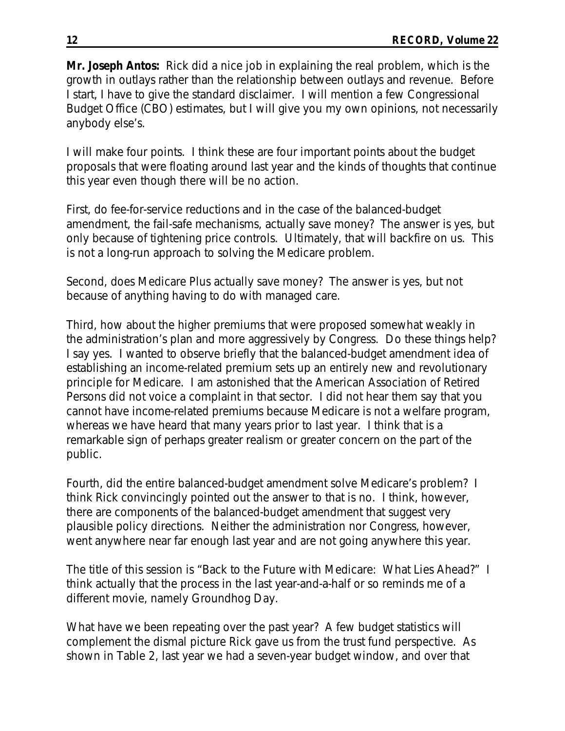**Mr. Joseph Antos:** Rick did a nice job in explaining the real problem, which is the growth in outlays rather than the relationship between outlays and revenue. Before I start, I have to give the standard disclaimer. I will mention a few Congressional Budget Office (CBO) estimates, but I will give you my own opinions, not necessarily anybody else's.

I will make four points. I think these are four important points about the budget proposals that were floating around last year and the kinds of thoughts that continue this year even though there will be no action.

First, do fee-for-service reductions and in the case of the balanced-budget amendment, the fail-safe mechanisms, actually save money? The answer is yes, but only because of tightening price controls. Ultimately, that will backfire on us. This is not a long-run approach to solving the Medicare problem.

Second, does Medicare Plus actually save money? The answer is yes, but not because of anything having to do with managed care.

Third, how about the higher premiums that were proposed somewhat weakly in the administration's plan and more aggressively by Congress. Do these things help? I say yes. I wanted to observe briefly that the balanced-budget amendment idea of establishing an income-related premium sets up an entirely new and revolutionary principle for Medicare. I am astonished that the American Association of Retired Persons did not voice a complaint in that sector. I did not hear them say that you cannot have income-related premiums because Medicare is not a welfare program, whereas we have heard that many years prior to last year. I think that is a remarkable sign of perhaps greater realism or greater concern on the part of the public.

Fourth, did the entire balanced-budget amendment solve Medicare's problem? I think Rick convincingly pointed out the answer to that is no. I think, however, there are components of the balanced-budget amendment that suggest very plausible policy directions. Neither the administration nor Congress, however, went anywhere near far enough last year and are not going anywhere this year.

The title of this session is "Back to the Future with Medicare: What Lies Ahead?" I think actually that the process in the last year-and-a-half or so reminds me of a different movie, namely *Groundhog Day*.

What have we been repeating over the past year? A few budget statistics will complement the dismal picture Rick gave us from the trust fund perspective. As shown in Table 2, last year we had a seven-year budget window, and over that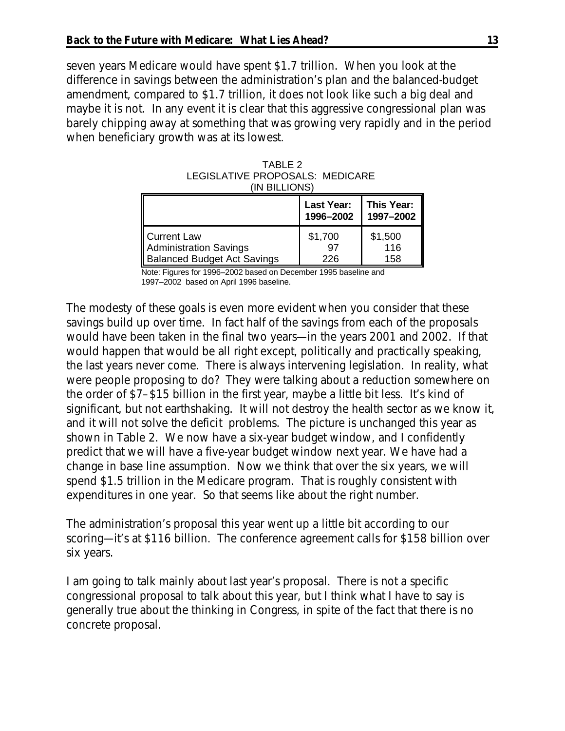seven years Medicare would have spent \$1.7 trillion. When you look at the difference in savings between the administration's plan and the balanced-budget amendment, compared to \$1.7 trillion, it does not look like such a big deal and maybe it is not. In any event it is clear that this aggressive congressional plan was barely chipping away at something that was growing very rapidly and in the period when beneficiary growth was at its lowest.

| TABLE 2                         |  |
|---------------------------------|--|
| LEGISLATIVE PROPOSALS: MEDICARE |  |
| (IN BILLIONS)                   |  |

|                                    | Last Year:<br>1996-2002 | This Year:<br>1997-2002 |
|------------------------------------|-------------------------|-------------------------|
| Current Law                        | \$1,700                 | \$1,500                 |
| Administration Savings             | 97                      | 116                     |
| <b>Balanced Budget Act Savings</b> | 226                     | 158                     |

Note: Figures for 1996–2002 based on December 1995 baseline and 1997–2002 based on April 1996 baseline.

The modesty of these goals is even more evident when you consider that these savings build up over time. In fact half of the savings from each of the proposals would have been taken in the final two years—in the years 2001 and 2002. If that would happen that would be all right except, politically and practically speaking, the last years never come. There is always intervening legislation. In reality, what were people proposing to do? They were talking about a reduction somewhere on the order of \$7–\$15 billion in the first year, maybe a little bit less. It's kind of significant, but not earthshaking. It will not destroy the health sector as we know it, and it will not solve the deficit problems. The picture is unchanged this year as shown in Table 2. We now have a six-year budget window, and I confidently predict that we will have a five-year budget window next year. We have had a change in base line assumption. Now we think that over the six years, we will spend \$1.5 trillion in the Medicare program. That is roughly consistent with expenditures in one year. So that seems like about the right number.

The administration's proposal this year went up a little bit according to our scoring—it's at \$116 billion. The conference agreement calls for \$158 billion over six years.

I am going to talk mainly about last year's proposal. There is not a specific congressional proposal to talk about this year, but I think what I have to say is generally true about the thinking in Congress, in spite of the fact that there is no concrete proposal.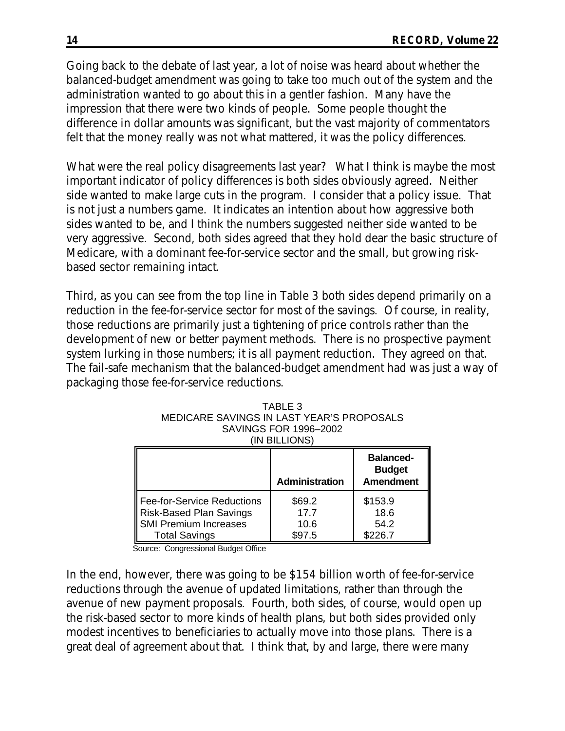Going back to the debate of last year, a lot of noise was heard about whether the balanced-budget amendment was going to take too much out of the system and the administration wanted to go about this in a gentler fashion. Many have the impression that there were two kinds of people. Some people thought the difference in dollar amounts was significant, but the vast majority of commentators felt that the money really was not what mattered, it was the policy differences.

What were the real policy disagreements last year? What I think is maybe the most important indicator of policy differences is both sides obviously agreed. Neither side wanted to make large cuts in the program. I consider that a policy issue. That is not just a numbers game. It indicates an intention about how aggressive both sides wanted to be, and I think the numbers suggested neither side wanted to be very aggressive. Second, both sides agreed that they hold dear the basic structure of Medicare, with a dominant fee-for-service sector and the small, but growing riskbased sector remaining intact.

Third, as you can see from the top line in Table 3 both sides depend primarily on a reduction in the fee-for-service sector for most of the savings. Of course, in reality, those reductions are primarily just a tightening of price controls rather than the development of new or better payment methods. There is no prospective payment system lurking in those numbers; it is all payment reduction. They agreed on that. The fail-safe mechanism that the balanced-budget amendment had was just a way of packaging those fee-for-service reductions.

| IN BILLIONS)                                                                                           |                                  |                                    |  |  |  |
|--------------------------------------------------------------------------------------------------------|----------------------------------|------------------------------------|--|--|--|
| <b>Balanced-</b><br><b>Budget</b><br><b>Amendment</b><br><b>Administration</b>                         |                                  |                                    |  |  |  |
| Fee-for-Service Reductions<br>Risk-Based Plan Savings<br>SMI Premium Increases<br><b>Total Savings</b> | \$69.2<br>17.7<br>10.6<br>\$97.5 | \$153.9<br>18.6<br>54.2<br>\$226.7 |  |  |  |

| TABLE 3                                   |
|-------------------------------------------|
| MEDICARE SAVINGS IN LAST YEAR'S PROPOSALS |
| SAVINGS FOR 1996-2002                     |
| (IN BILLIONS)                             |

Source: Congressional Budget Office

In the end, however, there was going to be \$154 billion worth of fee-for-service reductions through the avenue of updated limitations, rather than through the avenue of new payment proposals. Fourth, both sides, of course, would open up the risk-based sector to more kinds of health plans, but both sides provided only modest incentives to beneficiaries to actually move into those plans. There is a great deal of agreement about that. I think that, by and large, there were many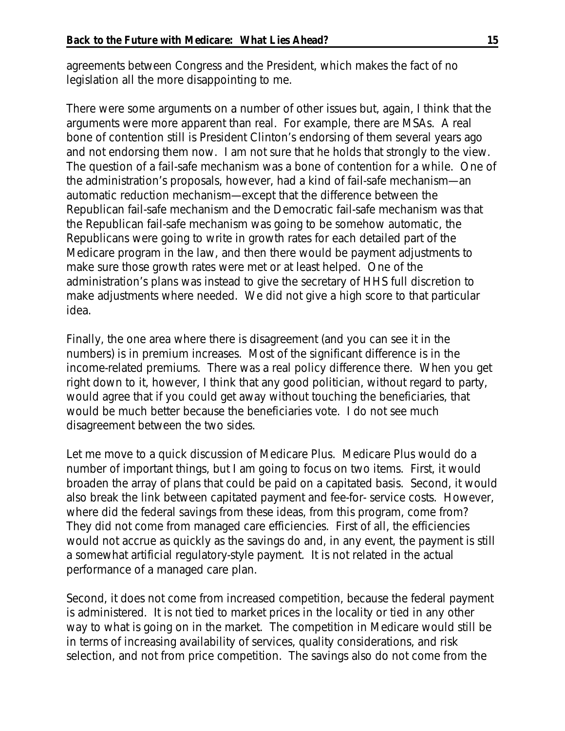agreements between Congress and the President, which makes the fact of no legislation all the more disappointing to me.

There were some arguments on a number of other issues but, again, I think that the arguments were more apparent than real. For example, there are MSAs. A real bone of contention still is President Clinton's endorsing of them several years ago and not endorsing them now. I am not sure that he holds that strongly to the view. The question of a fail-safe mechanism was a bone of contention for a while. One of the administration's proposals, however, had a kind of fail-safe mechanism—an automatic reduction mechanism—except that the difference between the Republican fail-safe mechanism and the Democratic fail-safe mechanism was that the Republican fail-safe mechanism was going to be somehow automatic, the Republicans were going to write in growth rates for each detailed part of the Medicare program in the law, and then there would be payment adjustments to make sure those growth rates were met or at least helped. One of the administration's plans was instead to give the secretary of HHS full discretion to make adjustments where needed. We did not give a high score to that particular idea.

Finally, the one area where there is disagreement (and you can see it in the numbers) is in premium increases. Most of the significant difference is in the income-related premiums. There was a real policy difference there. When you get right down to it, however, I think that any good politician, without regard to party, would agree that if you could get away without touching the beneficiaries, that would be much better because the beneficiaries vote. I do not see much disagreement between the two sides.

Let me move to a quick discussion of Medicare Plus. Medicare Plus would do a number of important things, but I am going to focus on two items. First, it would broaden the array of plans that could be paid on a capitated basis. Second, it would also break the link between capitated payment and fee-for- service costs. However, where did the federal savings from these ideas, from this program, come from? They did not come from managed care efficiencies. First of all, the efficiencies would not accrue as quickly as the savings do and, in any event, the payment is still a somewhat artificial regulatory-style payment. It is not related in the actual performance of a managed care plan.

Second, it does not come from increased competition, because the federal payment is administered. It is not tied to market prices in the locality or tied in any other way to what is going on in the market. The competition in Medicare would still be in terms of increasing availability of services, quality considerations, and risk selection, and not from price competition. The savings also do not come from the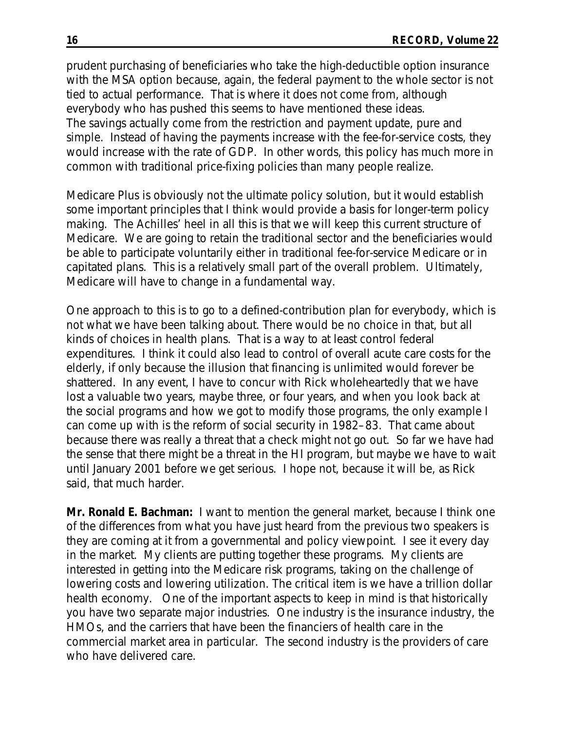prudent purchasing of beneficiaries who take the high-deductible option insurance with the MSA option because, again, the federal payment to the whole sector is not tied to actual performance. That is where it does not come from, although everybody who has pushed this seems to have mentioned these ideas. The savings actually come from the restriction and payment update, pure and simple. Instead of having the payments increase with the fee-for-service costs, they would increase with the rate of GDP. In other words, this policy has much more in common with traditional price-fixing policies than many people realize.

Medicare Plus is obviously not the ultimate policy solution, but it would establish some important principles that I think would provide a basis for longer-term policy making. The Achilles' heel in all this is that we will keep this current structure of Medicare. We are going to retain the traditional sector and the beneficiaries would be able to participate voluntarily either in traditional fee-for-service Medicare or in capitated plans. This is a relatively small part of the overall problem. Ultimately, Medicare will have to change in a fundamental way.

One approach to this is to go to a defined-contribution plan for everybody, which is not what we have been talking about. There would be no choice in that, but all kinds of choices in health plans. That is a way to at least control federal expenditures. I think it could also lead to control of overall acute care costs for the elderly, if only because the illusion that financing is unlimited would forever be shattered. In any event, I have to concur with Rick wholeheartedly that we have lost a valuable two years, maybe three, or four years, and when you look back at the social programs and how we got to modify those programs, the only example I can come up with is the reform of social security in 1982–83. That came about because there was really a threat that a check might not go out. So far we have had the sense that there might be a threat in the HI program, but maybe we have to wait until January 2001 before we get serious. I hope not, because it will be, as Rick said, that much harder.

**Mr. Ronald E. Bachman:** I want to mention the general market, because I think one of the differences from what you have just heard from the previous two speakers is they are coming at it from a governmental and policy viewpoint. I see it every day in the market. My clients are putting together these programs. My clients are interested in getting into the Medicare risk programs, taking on the challenge of lowering costs and lowering utilization. The critical item is we have a trillion dollar health economy. One of the important aspects to keep in mind is that historically you have two separate major industries. One industry is the insurance industry, the HMOs, and the carriers that have been the financiers of health care in the commercial market area in particular. The second industry is the providers of care who have delivered care.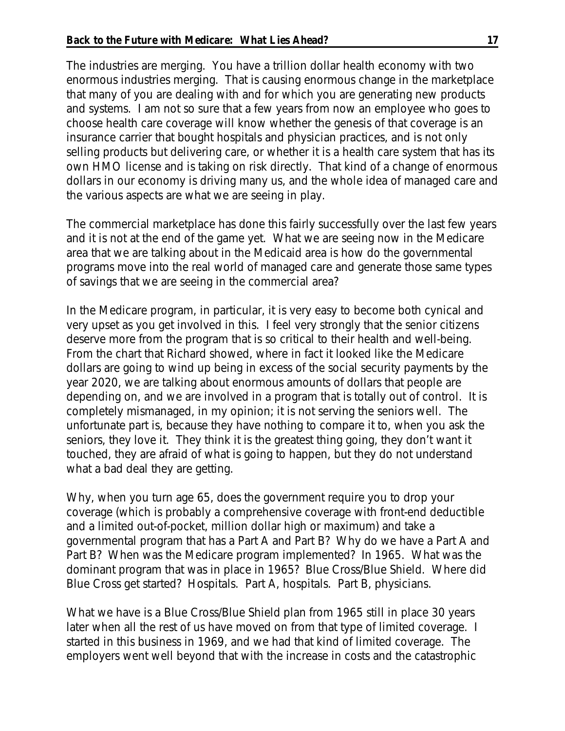The industries are merging. You have a trillion dollar health economy with two enormous industries merging. That is causing enormous change in the marketplace that many of you are dealing with and for which you are generating new products and systems. I am not so sure that a few years from now an employee who goes to choose health care coverage will know whether the genesis of that coverage is an insurance carrier that bought hospitals and physician practices, and is not only selling products but delivering care, or whether it is a health care system that has its own HMO license and is taking on risk directly. That kind of a change of enormous dollars in our economy is driving many us, and the whole idea of managed care and the various aspects are what we are seeing in play.

The commercial marketplace has done this fairly successfully over the last few years and it is not at the end of the game yet. What we are seeing now in the Medicare area that we are talking about in the Medicaid area is how do the governmental programs move into the real world of managed care and generate those same types of savings that we are seeing in the commercial area?

In the Medicare program, in particular, it is very easy to become both cynical and very upset as you get involved in this. I feel very strongly that the senior citizens deserve more from the program that is so critical to their health and well-being. From the chart that Richard showed, where in fact it looked like the Medicare dollars are going to wind up being in excess of the social security payments by the year 2020, we are talking about enormous amounts of dollars that people are depending on, and we are involved in a program that is totally out of control. It is completely mismanaged, in my opinion; it is not serving the seniors well. The unfortunate part is, because they have nothing to compare it to, when you ask the seniors, they love it. They think it is the greatest thing going, they don't want it touched, they are afraid of what is going to happen, but they do not understand what a bad deal they are getting.

Why, when you turn age 65, does the government require you to drop your coverage (which is probably a comprehensive coverage with front-end deductible and a limited out-of-pocket, million dollar high or maximum) and take a governmental program that has a Part A and Part B? Why do we have a Part A and Part B? When was the Medicare program implemented? In 1965. What was the dominant program that was in place in 1965? Blue Cross/Blue Shield. Where did Blue Cross get started? Hospitals. Part A, hospitals. Part B, physicians.

What we have is a Blue Cross/Blue Shield plan from 1965 still in place 30 years later when all the rest of us have moved on from that type of limited coverage. I started in this business in 1969, and we had that kind of limited coverage. The employers went well beyond that with the increase in costs and the catastrophic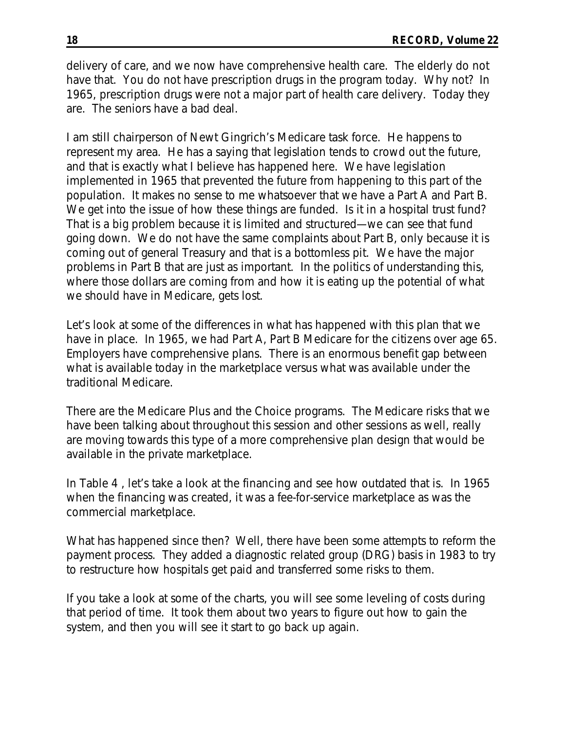delivery of care, and we now have comprehensive health care. The elderly do not have that. You do not have prescription drugs in the program today. Why not? In 1965, prescription drugs were not a major part of health care delivery. Today they are. The seniors have a bad deal.

I am still chairperson of Newt Gingrich's Medicare task force. He happens to represent my area. He has a saying that legislation tends to crowd out the future, and that is exactly what I believe has happened here. We have legislation implemented in 1965 that prevented the future from happening to this part of the population. It makes no sense to me whatsoever that we have a Part A and Part B. We get into the issue of how these things are funded. Is it in a hospital trust fund? That is a big problem because it is limited and structured—we can see that fund going down. We do not have the same complaints about Part B, only because it is coming out of general Treasury and that is a bottomless pit. We have the major problems in Part B that are just as important. In the politics of understanding this, where those dollars are coming from and how it is eating up the potential of what we should have in Medicare, gets lost.

Let's look at some of the differences in what has happened with this plan that we have in place. In 1965, we had Part A, Part B Medicare for the citizens over age 65. Employers have comprehensive plans. There is an enormous benefit gap between what is available today in the marketplace versus what was available under the traditional Medicare.

There are the Medicare Plus and the Choice programs. The Medicare risks that we have been talking about throughout this session and other sessions as well, really are moving towards this type of a more comprehensive plan design that would be available in the private marketplace.

In Table 4 , let's take a look at the financing and see how outdated that is. In 1965 when the financing was created, it was a fee-for-service marketplace as was the commercial marketplace.

What has happened since then? Well, there have been some attempts to reform the payment process. They added a diagnostic related group (DRG) basis in 1983 to try to restructure how hospitals get paid and transferred some risks to them.

If you take a look at some of the charts, you will see some leveling of costs during that period of time. It took them about two years to figure out how to gain the system, and then you will see it start to go back up again.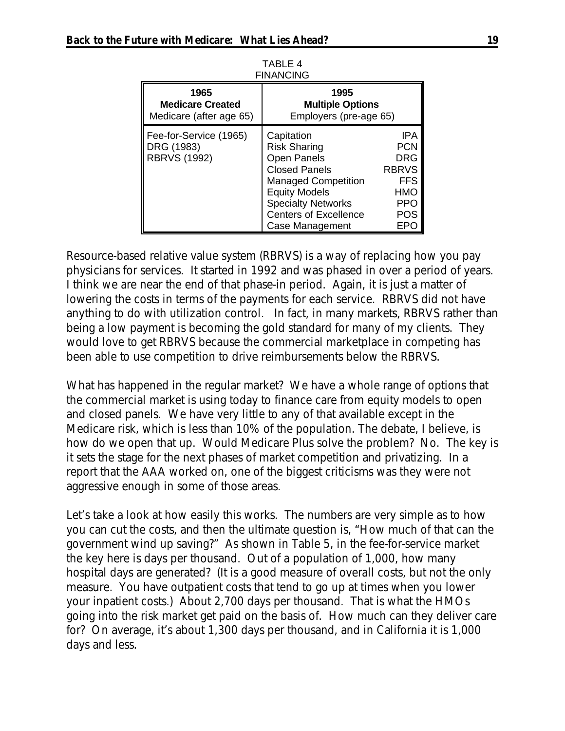| FINANCING                                                   |                                                                                                                                                                                                                       |                                                                                                  |  |  |
|-------------------------------------------------------------|-----------------------------------------------------------------------------------------------------------------------------------------------------------------------------------------------------------------------|--------------------------------------------------------------------------------------------------|--|--|
| 1965<br><b>Medicare Created</b><br>Medicare (after age 65)  | 1995<br><b>Multiple Options</b><br>Employers (pre-age 65)                                                                                                                                                             |                                                                                                  |  |  |
| Fee-for-Service (1965)<br>DRG (1983)<br><b>RBRVS (1992)</b> | Capitation<br><b>Risk Sharing</b><br><b>Open Panels</b><br><b>Closed Panels</b><br><b>Managed Competition</b><br><b>Equity Models</b><br><b>Specialty Networks</b><br><b>Centers of Excellence</b><br>Case Management | <b>IPA</b><br><b>PCN</b><br><b>DRG</b><br><b>RBRVS</b><br><b>FFS</b><br>HMO<br><b>PPO</b><br>POS |  |  |

TABLE 4 FINANCING

Resource-based relative value system (RBRVS) is a way of replacing how you pay physicians for services. It started in 1992 and was phased in over a period of years. I think we are near the end of that phase-in period. Again, it is just a matter of lowering the costs in terms of the payments for each service. RBRVS did not have anything to do with utilization control. In fact, in many markets, RBRVS rather than being a low payment is becoming the gold standard for many of my clients. They would love to get RBRVS because the commercial marketplace in competing has been able to use competition to drive reimbursements below the RBRVS.

What has happened in the regular market? We have a whole range of options that the commercial market is using today to finance care from equity models to open and closed panels. We have very little to any of that available except in the Medicare risk, which is less than 10% of the population. The debate, I believe, is how do we open that up. Would Medicare Plus solve the problem? No. The key is it sets the stage for the next phases of market competition and privatizing. In a report that the AAA worked on, one of the biggest criticisms was they were not aggressive enough in some of those areas.

Let's take a look at how easily this works. The numbers are very simple as to how you can cut the costs, and then the ultimate question is, "How much of that can the government wind up saving?" As shown in Table 5, in the fee-for-service market the key here is days per thousand. Out of a population of 1,000, how many hospital days are generated? (It is a good measure of overall costs, but not the only measure. You have outpatient costs that tend to go up at times when you lower your inpatient costs.) About 2,700 days per thousand. That is what the HMOs going into the risk market get paid on the basis of. How much can they deliver care for? On average, it's about 1,300 days per thousand, and in California it is 1,000 days and less.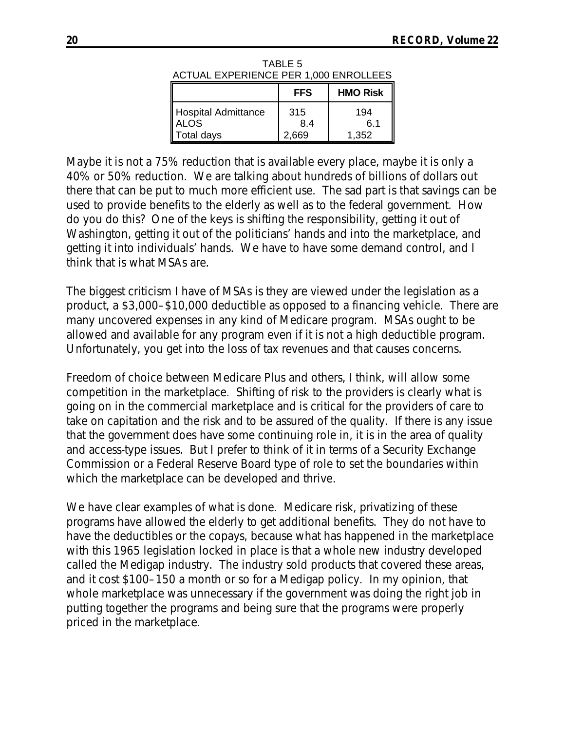| I                                     | EEQ     | <b>LIMO Dick</b> |
|---------------------------------------|---------|------------------|
| ACTUAL EXPERIENCE PER 1,000 ENROLLEES |         |                  |
|                                       | TABLE 5 |                  |

|                                   | <b>FFS</b>        | <b>HMO Risk</b>     |
|-----------------------------------|-------------------|---------------------|
| Hospital Admittance<br>Total days | 315<br>84<br>.669 | 194<br>6.1<br>1.352 |

Maybe it is not a 75% reduction that is available every place, maybe it is only a 40% or 50% reduction. We are talking about hundreds of billions of dollars out there that can be put to much more efficient use. The sad part is that savings can be used to provide benefits to the elderly as well as to the federal government. How do you do this? One of the keys is shifting the responsibility, getting it out of Washington, getting it out of the politicians' hands and into the marketplace, and getting it into individuals' hands. We have to have some demand control, and I think that is what MSAs are.

The biggest criticism I have of MSAs is they are viewed under the legislation as a product, a \$3,000–\$10,000 deductible as opposed to a financing vehicle. There are many uncovered expenses in any kind of Medicare program. MSAs ought to be allowed and available for any program even if it is not a high deductible program. Unfortunately, you get into the loss of tax revenues and that causes concerns.

Freedom of choice between Medicare Plus and others, I think, will allow some competition in the marketplace. Shifting of risk to the providers is clearly what is going on in the commercial marketplace and is critical for the providers of care to take on capitation and the risk and to be assured of the quality. If there is any issue that the government does have some continuing role in, it is in the area of quality and access-type issues. But I prefer to think of it in terms of a Security Exchange Commission or a Federal Reserve Board type of role to set the boundaries within which the marketplace can be developed and thrive.

We have clear examples of what is done. Medicare risk, privatizing of these programs have allowed the elderly to get additional benefits. They do not have to have the deductibles or the copays, because what has happened in the marketplace with this 1965 legislation locked in place is that a whole new industry developed called the Medigap industry. The industry sold products that covered these areas, and it cost \$100–150 a month or so for a Medigap policy. In my opinion, that whole marketplace was unnecessary if the government was doing the right job in putting together the programs and being sure that the programs were properly priced in the marketplace.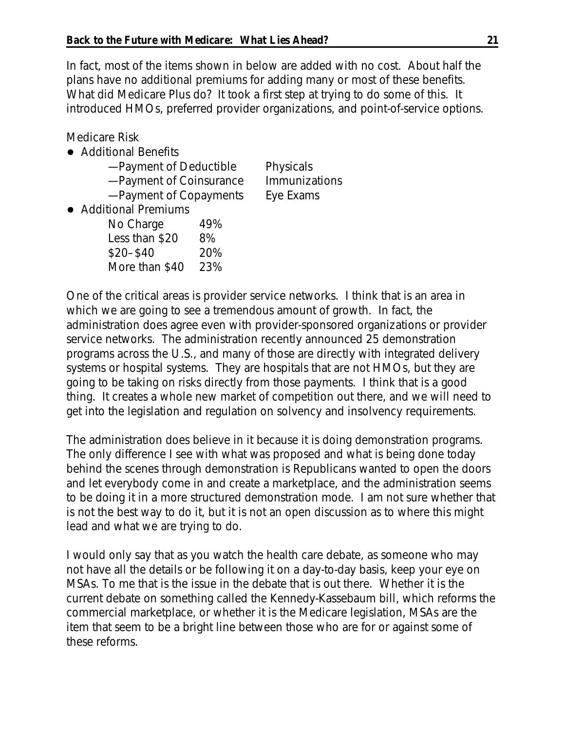In fact, most of the items shown in below are added with no cost. About half the plans have no additional premiums for adding many or most of these benefits. What did Medicare Plus do? It took a first step at trying to do some of this. It introduced HMOs, preferred provider organizations, and point-of-service options.

Medicare Risk

## Additional Benefits

| -Payment of Deductible  | Physicals     |
|-------------------------|---------------|
| -Payment of Coinsurance | Immunizations |
| -Payment of Copayments  | Eye Exams     |

• Additional Premiums

| No Charge      | 49% |
|----------------|-----|
| Less than \$20 | 8%  |
| $$20 - $40$    | 20% |
| More than \$40 | 23% |

One of the critical areas is provider service networks. I think that is an area in which we are going to see a tremendous amount of growth. In fact, the administration does agree even with provider-sponsored organizations or provider service networks. The administration recently announced 25 demonstration programs across the U.S., and many of those are directly with integrated delivery systems or hospital systems. They are hospitals that are not HMOs, but they are going to be taking on risks directly from those payments. I think that is a good thing. It creates a whole new market of competition out there, and we will need to get into the legislation and regulation on solvency and insolvency requirements.

The administration does believe in it because it is doing demonstration programs. The only difference I see with what was proposed and what is being done today behind the scenes through demonstration is Republicans wanted to open the doors and let everybody come in and create a marketplace, and the administration seems to be doing it in a more structured demonstration mode. I am not sure whether that is not the best way to do it, but it is not an open discussion as to where this might lead and what we are trying to do.

I would only say that as you watch the health care debate, as someone who may not have all the details or be following it on a day-to-day basis, keep your eye on MSAs. To me that is the issue in the debate that is out there. Whether it is the current debate on something called the Kennedy-Kassebaum bill, which reforms the commercial marketplace, or whether it is the Medicare legislation, MSAs are the item that seem to be a bright line between those who are for or against some of these reforms.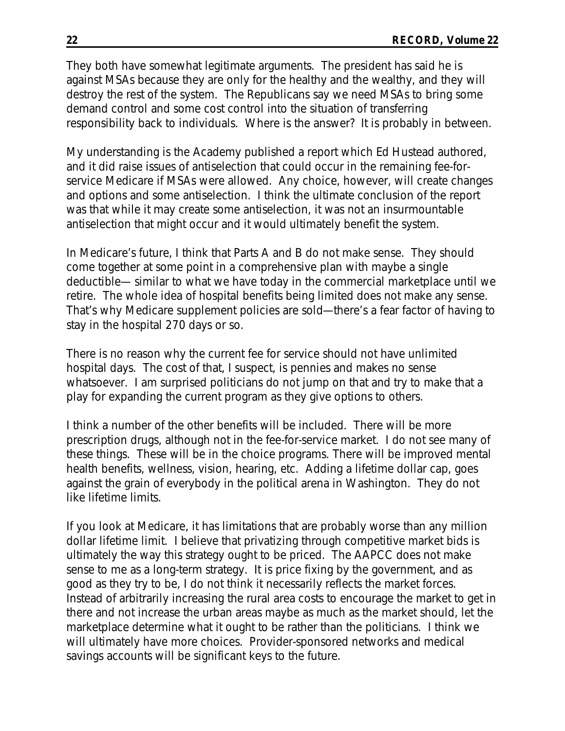They both have somewhat legitimate arguments. The president has said he is against MSAs because they are only for the healthy and the wealthy, and they will destroy the rest of the system. The Republicans say we need MSAs to bring some demand control and some cost control into the situation of transferring responsibility back to individuals. Where is the answer? It is probably in between.

My understanding is the Academy published a report which Ed Hustead authored, and it did raise issues of antiselection that could occur in the remaining fee-forservice Medicare if MSAs were allowed. Any choice, however, will create changes and options and some antiselection. I think the ultimate conclusion of the report was that while it may create some antiselection, it was not an insurmountable antiselection that might occur and it would ultimately benefit the system.

In Medicare's future, I think that Parts A and B do not make sense. They should come together at some point in a comprehensive plan with maybe a single deductible— similar to what we have today in the commercial marketplace until we retire. The whole idea of hospital benefits being limited does not make any sense. That's why Medicare supplement policies are sold—there's a fear factor of having to stay in the hospital 270 days or so.

There is no reason why the current fee for service should not have unlimited hospital days. The cost of that, I suspect, is pennies and makes no sense whatsoever. I am surprised politicians do not jump on that and try to make that a play for expanding the current program as they give options to others.

I think a number of the other benefits will be included. There will be more prescription drugs, although not in the fee-for-service market. I do not see many of these things. These will be in the choice programs. There will be improved mental health benefits, wellness, vision, hearing, etc. Adding a lifetime dollar cap, goes against the grain of everybody in the political arena in Washington. They do not like lifetime limits.

If you look at Medicare, it has limitations that are probably worse than any million dollar lifetime limit. I believe that privatizing through competitive market bids is ultimately the way this strategy ought to be priced. The AAPCC does not make sense to me as a long-term strategy. It is price fixing by the government, and as good as they try to be, I do not think it necessarily reflects the market forces. Instead of arbitrarily increasing the rural area costs to encourage the market to get in there and not increase the urban areas maybe as much as the market should, let the marketplace determine what it ought to be rather than the politicians. I think we will ultimately have more choices. Provider-sponsored networks and medical savings accounts will be significant keys to the future.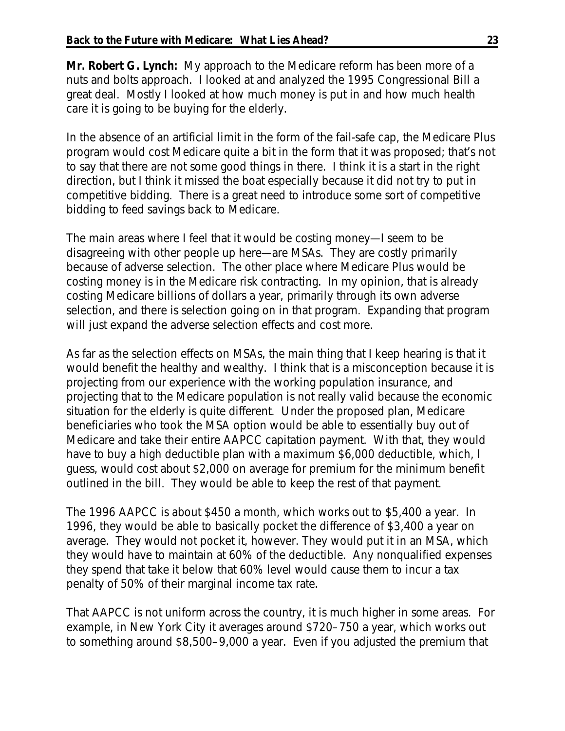**Mr. Robert G. Lynch:** My approach to the Medicare reform has been more of a nuts and bolts approach. I looked at and analyzed the 1995 Congressional Bill a great deal. Mostly I looked at how much money is put in and how much health care it is going to be buying for the elderly.

In the absence of an artificial limit in the form of the fail-safe cap, the Medicare Plus program would cost Medicare quite a bit in the form that it was proposed; that's not to say that there are not some good things in there. I think it is a start in the right direction, but I think it missed the boat especially because it did not try to put in competitive bidding. There is a great need to introduce some sort of competitive bidding to feed savings back to Medicare.

The main areas where I feel that it would be costing money—I seem to be disagreeing with other people up here—are MSAs. They are costly primarily because of adverse selection. The other place where Medicare Plus would be costing money is in the Medicare risk contracting. In my opinion, that is already costing Medicare billions of dollars a year, primarily through its own adverse selection, and there is selection going on in that program. Expanding that program will just expand the adverse selection effects and cost more.

As far as the selection effects on MSAs, the main thing that I keep hearing is that it would benefit the healthy and wealthy. I think that is a misconception because it is projecting from our experience with the working population insurance, and projecting that to the Medicare population is not really valid because the economic situation for the elderly is quite different. Under the proposed plan, Medicare beneficiaries who took the MSA option would be able to essentially buy out of Medicare and take their entire AAPCC capitation payment. With that, they would have to buy a high deductible plan with a maximum \$6,000 deductible, which, I guess, would cost about \$2,000 on average for premium for the minimum benefit outlined in the bill. They would be able to keep the rest of that payment.

The 1996 AAPCC is about \$450 a month, which works out to \$5,400 a year. In 1996, they would be able to basically pocket the difference of \$3,400 a year on average. They would not pocket it, however. They would put it in an MSA, which they would have to maintain at 60% of the deductible. Any nonqualified expenses they spend that take it below that 60% level would cause them to incur a tax penalty of 50% of their marginal income tax rate.

That AAPCC is not uniform across the country, it is much higher in some areas. For example, in New York City it averages around \$720–750 a year, which works out to something around \$8,500–9,000 a year. Even if you adjusted the premium that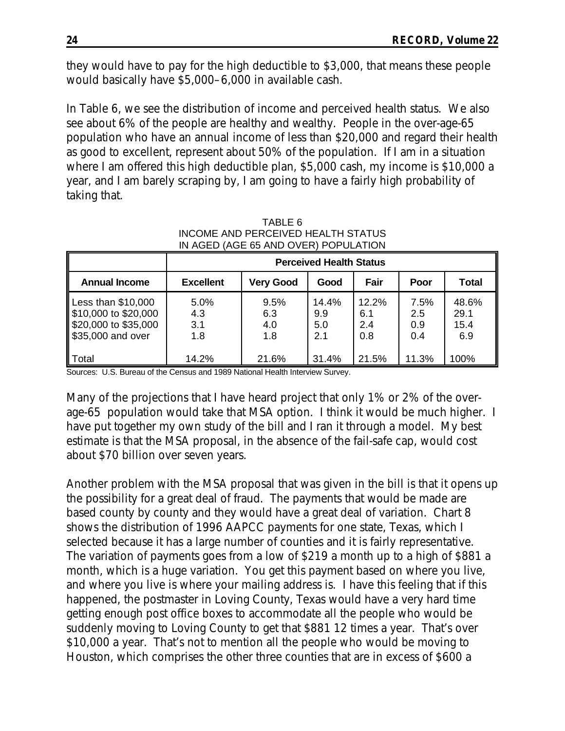they would have to pay for the high deductible to \$3,000, that means these people would basically have \$5,000–6,000 in available cash.

In Table 6, we see the distribution of income and perceived health status. We also see about 6% of the people are healthy and wealthy. People in the over-age-65 population who have an annual income of less than \$20,000 and regard their health as good to excellent, represent about 50% of the population. If I am in a situation where I am offered this high deductible plan, \$5,000 cash, my income is \$10,000 a year, and I am barely scraping by, I am going to have a fairly high probability of taking that.

|                                                                                          | <b>Perceived Health Status</b> |                           |                            |                            |                           |                              |
|------------------------------------------------------------------------------------------|--------------------------------|---------------------------|----------------------------|----------------------------|---------------------------|------------------------------|
| <b>Annual Income</b>                                                                     | <b>Excellent</b>               | <b>Very Good</b>          | Good                       | Fair                       | Poor                      | <b>Total</b>                 |
| Less than $$10,000$<br>\$10,000 to \$20,000<br>\$20,000 to \$35,000<br>\$35,000 and over | 5.0%<br>4.3<br>3.1<br>1.8      | 9.5%<br>6.3<br>4.0<br>1.8 | 14.4%<br>9.9<br>5.0<br>2.1 | 12.2%<br>6.1<br>2.4<br>0.8 | 7.5%<br>2.5<br>0.9<br>0.4 | 48.6%<br>29.1<br>15.4<br>6.9 |
| ∥ Total                                                                                  | 14.2%                          | 21.6%                     | 31.4%                      | 21.5%                      | 11.3%                     | 100%                         |

TABLE 6 INCOME AND PERCEIVED HEALTH STATUS IN AGED (AGE 65 AND OVER) POPULATION

Sources: U.S. Bureau of the Census and 1989 National Health Interview Survey.

Many of the projections that I have heard project that only 1% or 2% of the overage-65 population would take that MSA option. I think it would be much higher. I have put together my own study of the bill and I ran it through a model. My best estimate is that the MSA proposal, in the absence of the fail-safe cap, would cost about \$70 billion over seven years.

Another problem with the MSA proposal that was given in the bill is that it opens up the possibility for a great deal of fraud. The payments that would be made are based county by county and they would have a great deal of variation. Chart 8 shows the distribution of 1996 AAPCC payments for one state, Texas, which I selected because it has a large number of counties and it is fairly representative. The variation of payments goes from a low of \$219 a month up to a high of \$881 a month, which is a huge variation. You get this payment based on where you live, and where you live is where your mailing address is. I have this feeling that if this happened, the postmaster in Loving County, Texas would have a very hard time getting enough post office boxes to accommodate all the people who would be suddenly moving to Loving County to get that \$881 12 times a year. That's over \$10,000 a year. That's not to mention all the people who would be moving to Houston, which comprises the other three counties that are in excess of \$600 a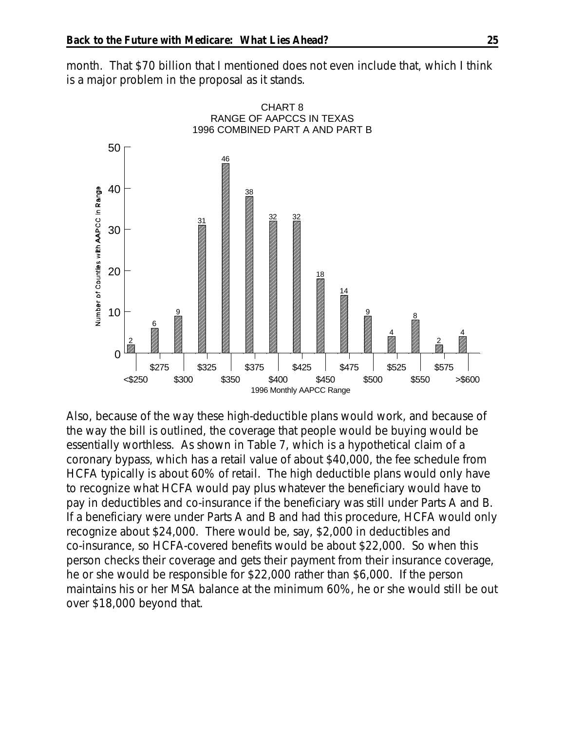month. That \$70 billion that I mentioned does not even include that, which I think is a major problem in the proposal as it stands.



Also, because of the way these high-deductible plans would work, and because of the way the bill is outlined, the coverage that people would be buying would be essentially worthless. As shown in Table 7, which is a hypothetical claim of a coronary bypass, which has a retail value of about \$40,000, the fee schedule from HCFA typically is about 60% of retail. The high deductible plans would only have to recognize what HCFA would pay plus whatever the beneficiary would have to pay in deductibles and co-insurance if the beneficiary was still under Parts A and B. If a beneficiary were under Parts A and B and had this procedure, HCFA would only recognize about \$24,000. There would be, say, \$2,000 in deductibles and co-insurance, so HCFA-covered benefits would be about \$22,000. So when this person checks their coverage and gets their payment from their insurance coverage, he or she would be responsible for \$22,000 rather than \$6,000. If the person maintains his or her MSA balance at the minimum 60%, he or she would still be out over \$18,000 beyond that.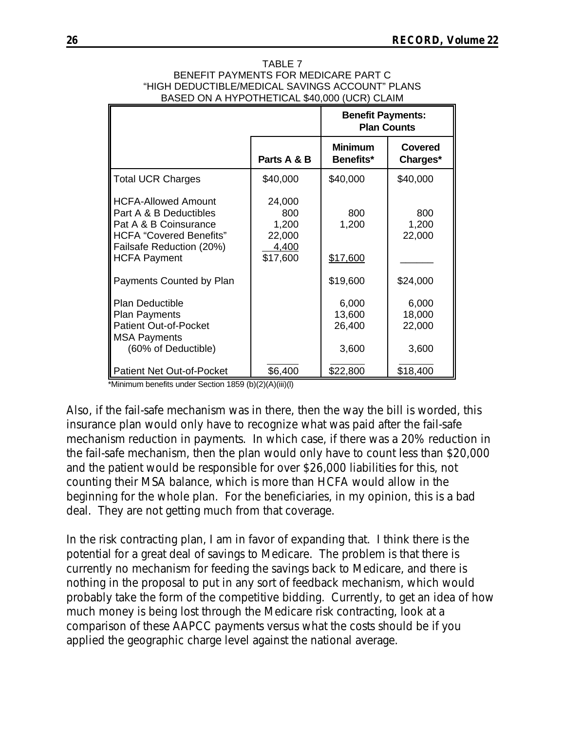| TABLE 7                                         |  |
|-------------------------------------------------|--|
| BENEFIT PAYMENTS FOR MEDICARE PART C            |  |
| "HIGH DEDUCTIBLE/MEDICAL SAVINGS ACCOUNT" PLANS |  |
| BASED ON A HYPOTHETICAL \$40,000 (UCR) CLAIM    |  |

|                                                                                                                                                                    |                                                       | <b>Benefit Payments:</b><br><b>Plan Counts</b> |                                    |
|--------------------------------------------------------------------------------------------------------------------------------------------------------------------|-------------------------------------------------------|------------------------------------------------|------------------------------------|
|                                                                                                                                                                    | Parts A & B                                           | <b>Minimum</b><br>Benefits*                    | Covered<br>Charges*                |
| <b>Total UCR Charges</b>                                                                                                                                           | \$40,000                                              | \$40,000                                       | \$40,000                           |
| <b>HCFA-Allowed Amount</b><br>Part A & B Deductibles<br>Pat A & B Coinsurance<br><b>HCFA</b> "Covered Benefits"<br>Failsafe Reduction (20%)<br><b>HCFA Payment</b> | 24,000<br>800<br>1,200<br>22,000<br>4,400<br>\$17,600 | 800<br>1,200<br>\$17,600                       | 800<br>1,200<br>22,000             |
| Payments Counted by Plan                                                                                                                                           |                                                       | \$19,600                                       | \$24,000                           |
| <b>Plan Deductible</b><br><b>Plan Payments</b><br><b>Patient Out-of-Pocket</b><br><b>MSA Payments</b><br>(60% of Deductible)                                       |                                                       | 6,000<br>13,600<br>26,400<br>3,600             | 6,000<br>18,000<br>22,000<br>3,600 |
| <b>Patient Net Out-of-Pocket</b>                                                                                                                                   | \$6,400                                               | \$22,800                                       | \$18,400                           |

\*Minimum benefits under Section 1859 (b)(2)(A)(iii)(l)

Also, if the fail-safe mechanism was in there, then the way the bill is worded, this insurance plan would only have to recognize what was paid after the fail-safe mechanism reduction in payments. In which case, if there was a 20% reduction in the fail-safe mechanism, then the plan would only have to count less than \$20,000 and the patient would be responsible for over \$26,000 liabilities for this, not counting their MSA balance, which is more than HCFA would allow in the beginning for the whole plan. For the beneficiaries, in my opinion, this is a bad deal. They are not getting much from that coverage.

In the risk contracting plan, I am in favor of expanding that. I think there is the potential for a great deal of savings to Medicare. The problem is that there is currently no mechanism for feeding the savings back to Medicare, and there is nothing in the proposal to put in any sort of feedback mechanism, which would probably take the form of the competitive bidding. Currently, to get an idea of how much money is being lost through the Medicare risk contracting, look at a comparison of these AAPCC payments versus what the costs should be if you applied the geographic charge level against the national average.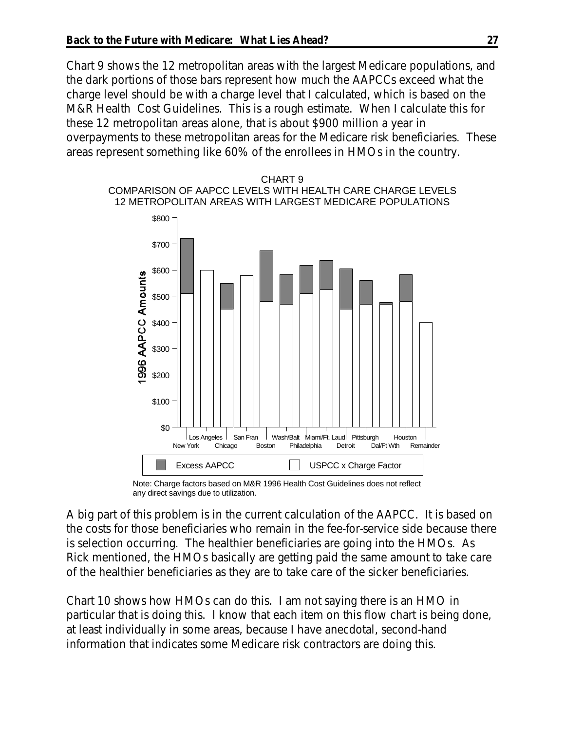Chart 9 shows the 12 metropolitan areas with the largest Medicare populations, and the dark portions of those bars represent how much the AAPCCs exceed what the charge level should be with a charge level that I calculated, which is based on the M&R Health Cost Guidelines. This is a rough estimate. When I calculate this for these 12 metropolitan areas alone, that is about \$900 million a year in overpayments to these metropolitan areas for the Medicare risk beneficiaries. These areas represent something like 60% of the enrollees in HMOs in the country.



Note: Charge factors based on M&R 1996 Health Cost Guidelines does not reflect any direct savings due to utilization.

A big part of this problem is in the current calculation of the AAPCC. It is based on the costs for those beneficiaries who remain in the fee-for-service side because there is selection occurring. The healthier beneficiaries are going into the HMOs. As Rick mentioned, the HMOs basically are getting paid the same amount to take care of the healthier beneficiaries as they are to take care of the sicker beneficiaries.

Chart 10 shows how HMOs can do this. I am not saying there is an HMO in particular that is doing this. I know that each item on this flow chart is being done, at least individually in some areas, because I have anecdotal, second-hand information that indicates some Medicare risk contractors are doing this.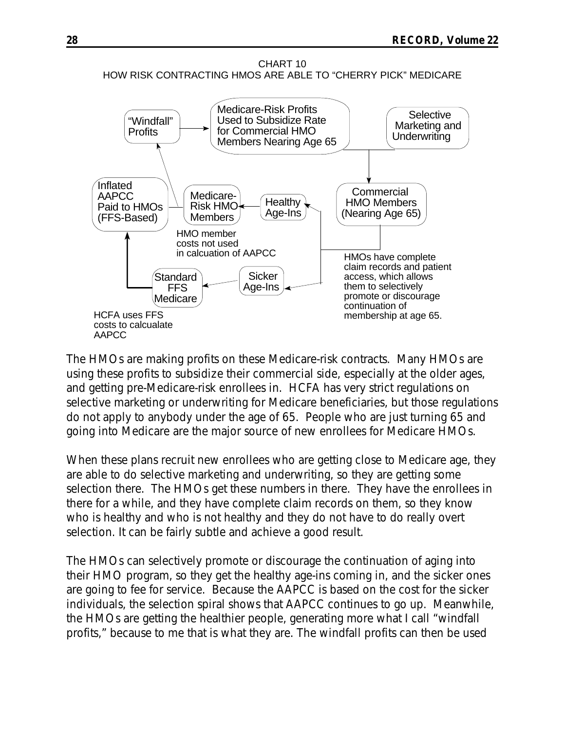CHART 10 HOW RISK CONTRACTING HMOS ARE ABLE TO "CHERRY PICK" MEDICARE



The HMOs are making profits on these Medicare-risk contracts. Many HMOs are using these profits to subsidize their commercial side, especially at the older ages, and getting pre-Medicare-risk enrollees in. HCFA has very strict regulations on selective marketing or underwriting for Medicare beneficiaries, but those regulations do not apply to anybody under the age of 65. People who are just turning 65 and going into Medicare are the major source of new enrollees for Medicare HMOs.

When these plans recruit new enrollees who are getting close to Medicare age, they are able to do selective marketing and underwriting, so they are getting some selection there. The HMOs get these numbers in there. They have the enrollees in there for a while, and they have complete claim records on them, so they know who is healthy and who is not healthy and they do not have to do really overt selection. It can be fairly subtle and achieve a good result.

The HMOs can selectively promote or discourage the continuation of aging into their HMO program, so they get the healthy age-ins coming in, and the sicker ones are going to fee for service. Because the AAPCC is based on the cost for the sicker individuals, the selection spiral shows that AAPCC continues to go up. Meanwhile, the HMOs are getting the healthier people, generating more what I call "windfall profits," because to me that is what they are. The windfall profits can then be used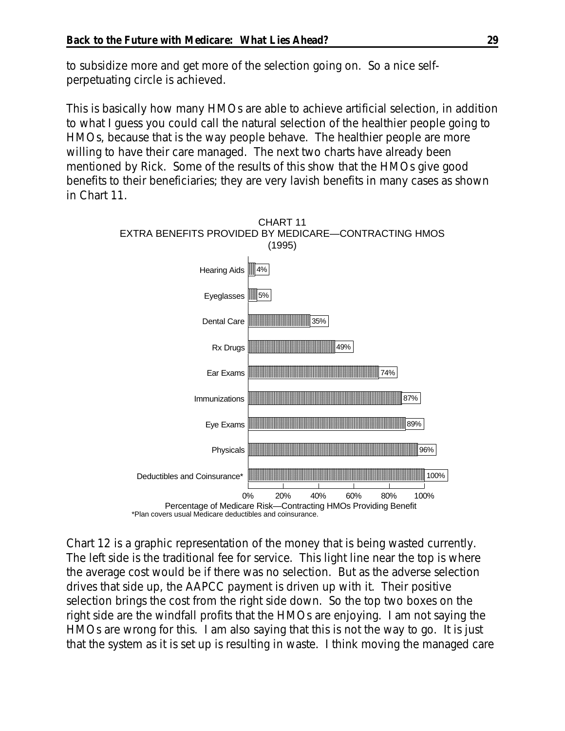to subsidize more and get more of the selection going on. So a nice selfperpetuating circle is achieved.

This is basically how many HMOs are able to achieve artificial selection, in addition to what I guess you could call the natural selection of the healthier people going to HMOs, because that is the way people behave. The healthier people are more willing to have their care managed. The next two charts have already been mentioned by Rick. Some of the results of this show that the HMOs give good benefits to their beneficiaries; they are very lavish benefits in many cases as shown in Chart 11.



Chart 12 is a graphic representation of the money that is being wasted currently. The left side is the traditional fee for service. This light line near the top is where the average cost would be if there was no selection. But as the adverse selection drives that side up, the AAPCC payment is driven up with it. Their positive selection brings the cost from the right side down. So the top two boxes on the right side are the windfall profits that the HMOs are enjoying. I am not saying the HMOs are wrong for this. I am also saying that this is not the way to go. It is just that the system as it is set up is resulting in waste. I think moving the managed care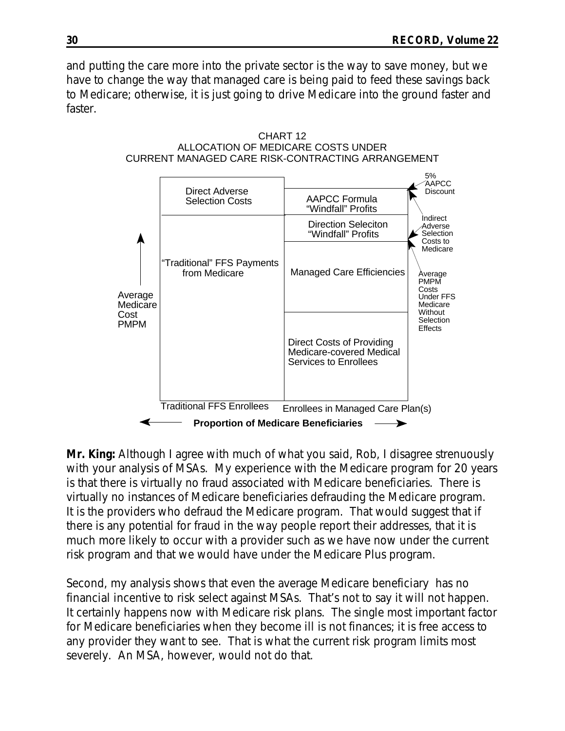and putting the care more into the private sector is the way to save money, but we have to change the way that managed care is being paid to feed these savings back to Medicare; otherwise, it is just going to drive Medicare into the ground faster and faster.





**Mr. King:** Although I agree with much of what you said, Rob, I disagree strenuously with your analysis of MSAs. My experience with the Medicare program for 20 years is that there is virtually no fraud associated with Medicare beneficiaries. There is virtually no instances of Medicare beneficiaries defrauding the Medicare program. It is the providers who defraud the Medicare program. That would suggest that if there is any potential for fraud in the way people report their addresses, that it is much more likely to occur with a provider such as we have now under the current risk program and that we would have under the Medicare Plus program.

Second, my analysis shows that even the average Medicare beneficiary has no financial incentive to risk select against MSAs. That's not to say it will not happen. It certainly happens now with Medicare risk plans. The single most important factor for Medicare beneficiaries when they become ill is not finances; it is free access to any provider they want to see. That is what the current risk program limits most severely. An MSA, however, would not do that.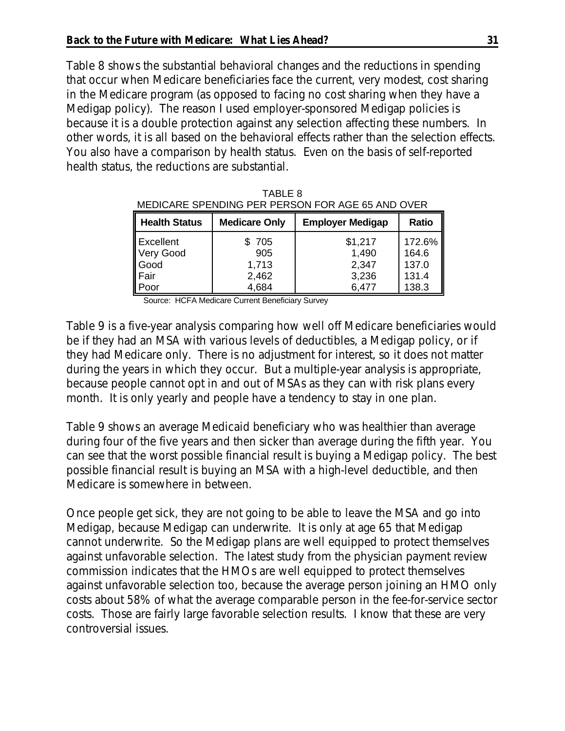Table 8 shows the substantial behavioral changes and the reductions in spending that occur when Medicare beneficiaries face the current, very modest, cost sharing in the Medicare program (as opposed to facing no cost sharing when they have a Medigap policy). The reason I used employer-sponsored Medigap policies is because it is a double protection against any selection affecting these numbers. In other words, it is all based on the behavioral effects rather than the selection effects. You also have a comparison by health status. Even on the basis of self-reported health status, the reductions are substantial.

| MEDICARE SPENDING PER PERSON FOR AGE 65 AND OVER |                        |                           |                          |  |
|--------------------------------------------------|------------------------|---------------------------|--------------------------|--|
| Health Status                                    | <b>Medicare Only</b>   | <b>Employer Medigap</b>   | <b>Ratio</b>             |  |
| Excellent<br>Very Good<br>Good<br>Fair<br>Poor   | \$ 705<br>905<br>1,713 | \$1,217<br>1,490<br>2,347 | 172.6%<br>164.6<br>137.0 |  |
|                                                  | 2,462<br>4,684         | 3,236<br>6,477            | 131.4<br>138.3           |  |

|         | Hoolth Status Modioare Only Employer Modiaco Deti |  |
|---------|---------------------------------------------------|--|
|         | MEDICARE SPENDING PER PERSON FOR AGE 65 AND OVER  |  |
| TABLE 8 |                                                   |  |

Source: HCFA Medicare Current Beneficiary Survey

Table 9 is a five-year analysis comparing how well off Medicare beneficiaries would be if they had an MSA with various levels of deductibles, a Medigap policy, or if they had Medicare only. There is no adjustment for interest, so it does not matter during the years in which they occur. But a multiple-year analysis is appropriate, because people cannot opt in and out of MSAs as they can with risk plans every month. It is only yearly and people have a tendency to stay in one plan.

Table 9 shows an average Medicaid beneficiary who was healthier than average during four of the five years and then sicker than average during the fifth year. You can see that the worst possible financial result is buying a Medigap policy. The best possible financial result is buying an MSA with a high-level deductible, and then Medicare is somewhere in between.

Once people get sick, they are not going to be able to leave the MSA and go into Medigap, because Medigap can underwrite. It is only at age 65 that Medigap cannot underwrite. So the Medigap plans are well equipped to protect themselves against unfavorable selection. The latest study from the physician payment review commission indicates that the HMOs are well equipped to protect themselves against unfavorable selection too, because the average person joining an HMO only costs about 58% of what the average comparable person in the fee-for-service sector costs. Those are fairly large favorable selection results. I know that these are very controversial issues.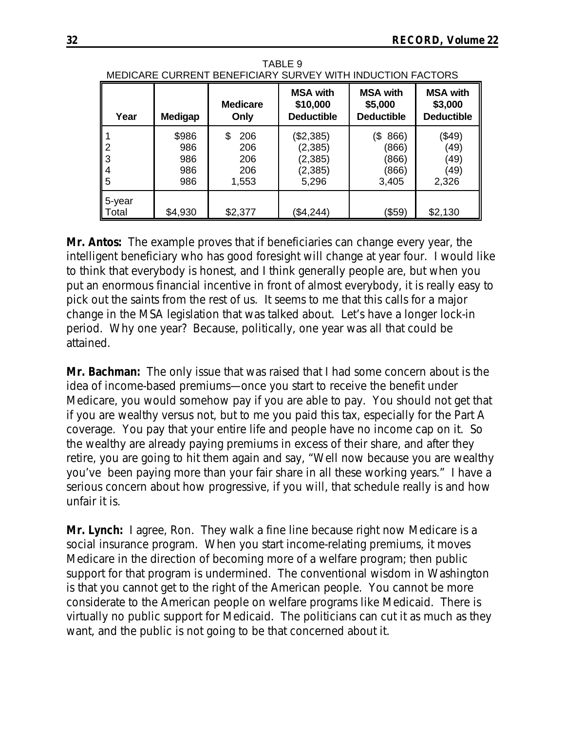| MEDICARE CURRENT BENEFICIARY SURVEY WITH INDUCTION FACTORS |                                   |                                         |                                                        |                                                 |                                                 |
|------------------------------------------------------------|-----------------------------------|-----------------------------------------|--------------------------------------------------------|-------------------------------------------------|-------------------------------------------------|
| Year                                                       | <b>Medigap</b>                    | <b>Medicare</b><br>Only                 | <b>MSA with</b><br>\$10,000<br><b>Deductible</b>       | <b>MSA with</b><br>\$5,000<br><b>Deductible</b> | <b>MSA with</b><br>\$3,000<br><b>Deductible</b> |
| 2<br>3<br>4<br>5                                           | \$986<br>986<br>986<br>986<br>986 | \$<br>206<br>206<br>206<br>206<br>1,553 | (\$2,385)<br>(2, 385)<br>(2, 385)<br>(2, 385)<br>5,296 | 866)<br>(\$<br>(866)<br>(866)<br>(866)<br>3,405 | (\$49)<br>(49)<br>(49)<br>(49)<br>2,326         |
| 5-year<br>Total                                            | \$4,930                           | \$2,377                                 | \$4,244)                                               | (\$59)                                          | \$2,130                                         |

TABLE 9

**Mr. Antos:** The example proves that if beneficiaries can change every year, the intelligent beneficiary who has good foresight will change at year four. I would like to think that everybody is honest, and I think generally people are, but when you put an enormous financial incentive in front of almost everybody, it is really easy to pick out the saints from the rest of us. It seems to me that this calls for a major change in the MSA legislation that was talked about. Let's have a longer lock-in period. Why one year? Because, politically, one year was all that could be attained.

**Mr. Bachman:** The only issue that was raised that I had some concern about is the idea of income-based premiums—once you start to receive the benefit under Medicare, you would somehow pay if you are able to pay. You should not get that if you are wealthy versus not, but to me you paid this tax, especially for the Part A coverage. You pay that your entire life and people have no income cap on it. So the wealthy are already paying premiums in excess of their share, and after they retire, you are going to hit them again and say, "Well now because you are wealthy you've been paying more than your fair share in all these working years." I have a serious concern about how progressive, if you will, that schedule really is and how unfair it is.

**Mr. Lynch:** I agree, Ron. They walk a fine line because right now Medicare is a social insurance program. When you start income-relating premiums, it moves Medicare in the direction of becoming more of a welfare program; then public support for that program is undermined. The conventional wisdom in Washington is that you cannot get to the right of the American people. You cannot be more considerate to the American people on welfare programs like Medicaid. There is virtually no public support for Medicaid. The politicians can cut it as much as they want, and the public is not going to be that concerned about it.